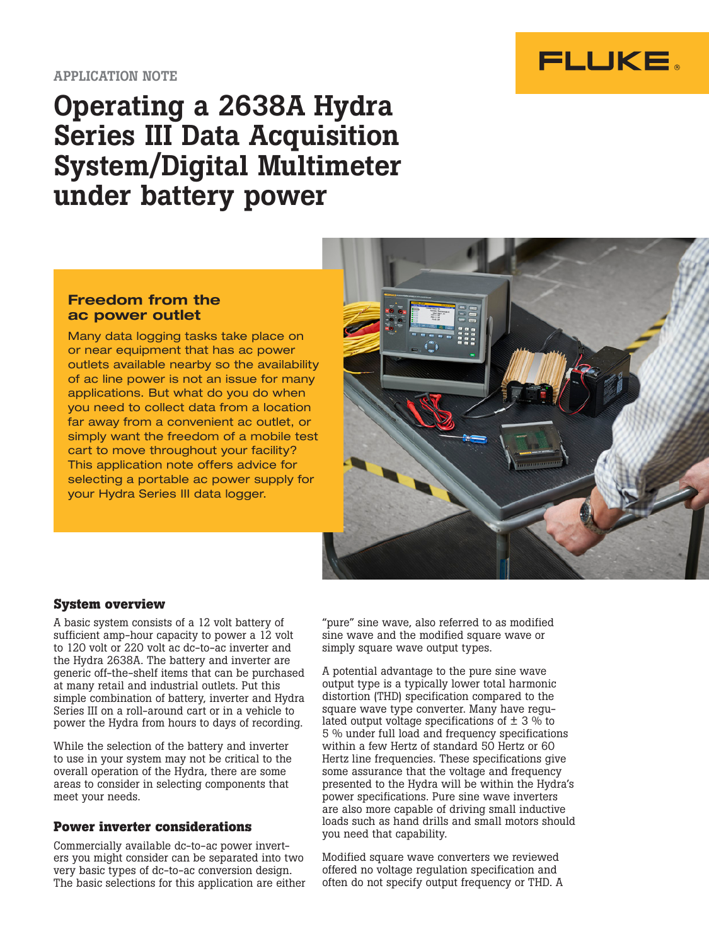

# Operating a 2638A Hydra Series III Data Acquisition System/Digital Multimeter under battery power

## Freedom from the ac power outlet

Many data logging tasks take place on or near equipment that has ac power outlets available nearby so the availability of ac line power is not an issue for many applications. But what do you do when you need to collect data from a location far away from a convenient ac outlet, or simply want the freedom of a mobile test cart to move throughout your facility? This application note offers advice for selecting a portable ac power supply for your Hydra Series III data logger.



# **System overview**

A basic system consists of a 12 volt battery of sufficient amp-hour capacity to power a 12 volt to 120 volt or 220 volt ac dc-to-ac inverter and the Hydra 2638A. The battery and inverter are generic off-the-shelf items that can be purchased at many retail and industrial outlets. Put this simple combination of battery, inverter and Hydra Series III on a roll-around cart or in a vehicle to power the Hydra from hours to days of recording.

While the selection of the battery and inverter to use in your system may not be critical to the overall operation of the Hydra, there are some areas to consider in selecting components that meet your needs.

## **Power inverter considerations**

Commercially available dc-to-ac power inverters you might consider can be separated into two very basic types of dc-to-ac conversion design. The basic selections for this application are either

"pure" sine wave, also referred to as modified sine wave and the modified square wave or simply square wave output types.

A potential advantage to the pure sine wave output type is a typically lower total harmonic distortion (THD) specification compared to the square wave type converter. Many have regulated output voltage specifications of  $\pm$  3 % to 5 % under full load and frequency specifications within a few Hertz of standard 50 Hertz or 60 Hertz line frequencies. These specifications give some assurance that the voltage and frequency presented to the Hydra will be within the Hydra's power specifications. Pure sine wave inverters are also more capable of driving small inductive loads such as hand drills and small motors should you need that capability.

Modified square wave converters we reviewed offered no voltage regulation specification and often do not specify output frequency or THD. A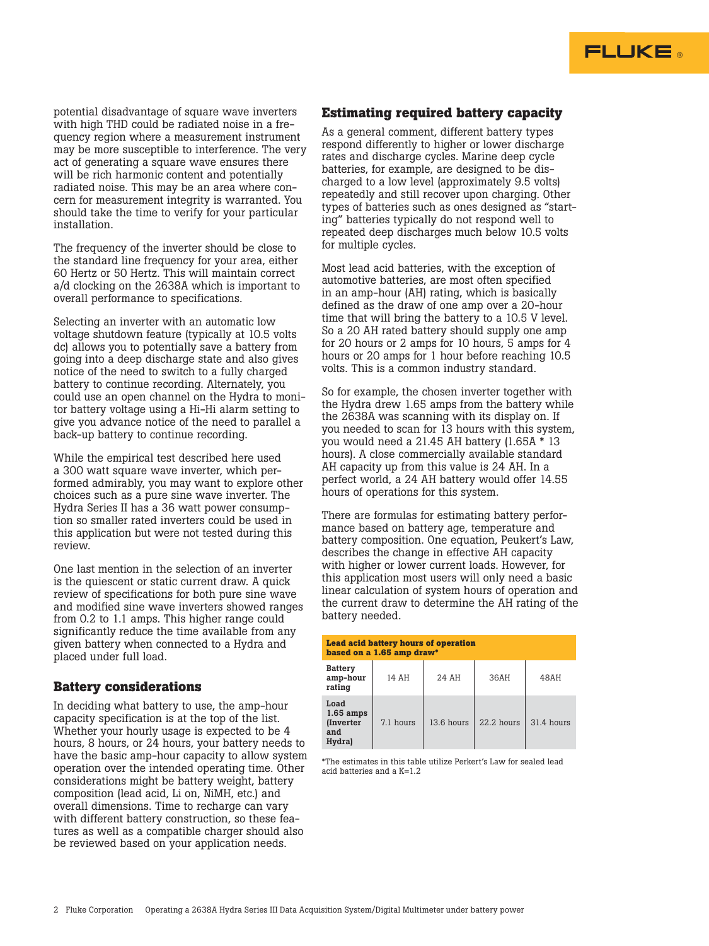

potential disadvantage of square wave inverters with high THD could be radiated noise in a frequency region where a measurement instrument may be more susceptible to interference. The very act of generating a square wave ensures there will be rich harmonic content and potentially radiated noise. This may be an area where concern for measurement integrity is warranted. You should take the time to verify for your particular installation.

The frequency of the inverter should be close to the standard line frequency for your area, either 60 Hertz or 50 Hertz. This will maintain correct a/d clocking on the 2638A which is important to overall performance to specifications.

Selecting an inverter with an automatic low voltage shutdown feature (typically at 10.5 volts dc) allows you to potentially save a battery from going into a deep discharge state and also gives notice of the need to switch to a fully charged battery to continue recording. Alternately, you could use an open channel on the Hydra to monitor battery voltage using a Hi-Hi alarm setting to give you advance notice of the need to parallel a back-up battery to continue recording.

While the empirical test described here used a 300 watt square wave inverter, which performed admirably, you may want to explore other choices such as a pure sine wave inverter. The Hydra Series II has a 36 watt power consumption so smaller rated inverters could be used in this application but were not tested during this review.

One last mention in the selection of an inverter is the quiescent or static current draw. A quick review of specifications for both pure sine wave and modified sine wave inverters showed ranges from 0.2 to 1.1 amps. This higher range could significantly reduce the time available from any given battery when connected to a Hydra and placed under full load.

#### **Battery considerations**

In deciding what battery to use, the amp-hour capacity specification is at the top of the list. Whether your hourly usage is expected to be 4 hours, 8 hours, or 24 hours, your battery needs to have the basic amp-hour capacity to allow system operation over the intended operating time. Other considerations might be battery weight, battery composition (lead acid, Li on, NiMH, etc.) and overall dimensions. Time to recharge can vary with different battery construction, so these features as well as a compatible charger should also be reviewed based on your application needs.

#### **Estimating required battery capacity**

As a general comment, different battery types respond differently to higher or lower discharge rates and discharge cycles. Marine deep cycle batteries, for example, are designed to be discharged to a low level (approximately 9.5 volts) repeatedly and still recover upon charging. Other types of batteries such as ones designed as "starting" batteries typically do not respond well to repeated deep discharges much below 10.5 volts for multiple cycles.

Most lead acid batteries, with the exception of automotive batteries, are most often specified in an amp-hour (AH) rating, which is basically defined as the draw of one amp over a 20-hour time that will bring the battery to a 10.5 V level. So a 20 AH rated battery should supply one amp for 20 hours or 2 amps for 10 hours, 5 amps for 4 hours or 20 amps for 1 hour before reaching 10.5 volts. This is a common industry standard.

So for example, the chosen inverter together with the Hydra drew 1.65 amps from the battery while the 2638A was scanning with its display on. If you needed to scan for 13 hours with this system, you would need a 21.45 AH battery (1.65A \* 13 hours). A close commercially available standard AH capacity up from this value is 24 AH. In a perfect world, a 24 AH battery would offer 14.55 hours of operations for this system.

There are formulas for estimating battery performance based on battery age, temperature and battery composition. One equation, Peukert's Law, describes the change in effective AH capacity with higher or lower current loads. However, for this application most users will only need a basic linear calculation of system hours of operation and the current draw to determine the AH rating of the battery needed.

| <b>Lead acid battery hours of operation</b><br>based on a 1.65 amp draw* |           |            |            |            |  |
|--------------------------------------------------------------------------|-----------|------------|------------|------------|--|
| <b>Battery</b><br>amp-hour<br>rating                                     | 14 AH     | 24 AH      | 36AH       | 48AH       |  |
| Load<br>$1.65$ amps<br><i>(Inverter)</i><br>and<br>Hydra)                | 7.1 hours | 13.6 hours | 22.2 hours | 31.4 hours |  |

\*The estimates in this table utilize Perkert's Law for sealed lead acid batteries and a K=1.2